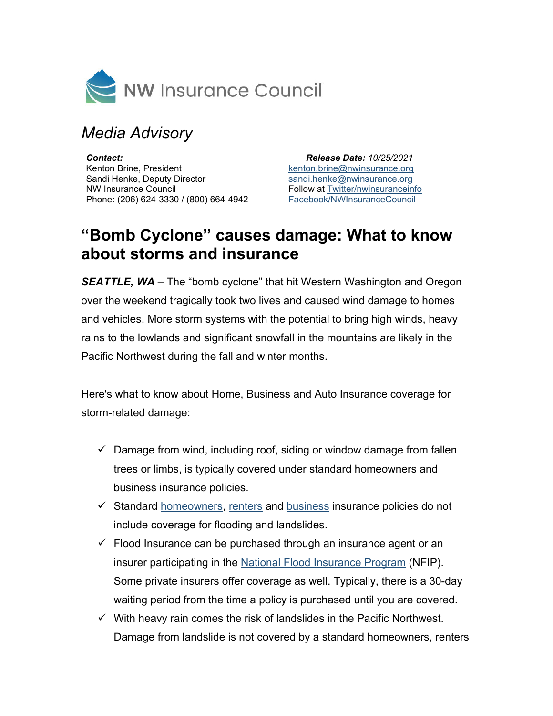

## *Media Advisory*

*Contact:* Kenton Brine, President Sandi Henke, Deputy Director NW Insurance Council Phone: (206) 624-3330 / (800) 664-4942

 *Release Date: 10/25/2021* [kenton.brine@nwinsurance.org](mailto:kenton.brine@nwinsurance.org) [sandi.henke@nwinsurance.org](mailto:sandi.henke@nwinsurance.org) Follow at **Twitter/nwinsuranceinfo** [Facebook/NWInsuranceCouncil](https://www.facebook.com/NWInsuranceCouncil)

## **"Bomb Cyclone" causes damage: What to know about storms and insurance**

*SEATTLE, WA –* The "bomb cyclone" that hit Western Washington and Oregon over the weekend tragically took two lives and caused wind damage to homes and vehicles. More storm systems with the potential to bring high winds, heavy rains to the lowlands and significant snowfall in the mountains are likely in the Pacific Northwest during the fall and winter months.

Here's what to know about Home, Business and Auto Insurance coverage for storm-related damage:

- $\checkmark$  Damage from wind, including roof, siding or window damage from fallen trees or limbs, is typically covered under standard homeowners and business insurance policies.
- $\checkmark$  Standard [homeowners,](https://www.nwinsurance.org/homeowners-insurance-basics) [renters](https://www.nwinsurance.org/renters-insurance-basics) and [business](https://www.nwinsurance.org/business-insurance-basics) insurance policies do not include coverage for flooding and landslides.
- $\checkmark$  Flood Insurance can be purchased through an insurance agent or an insurer participating in the National [Flood Insurance Program](https://www.fema.gov/national-flood-insurance-program/How-Buy-Flood-Insurance) (NFIP). Some private insurers offer coverage as well. Typically, there is a 30-day waiting period from the time a policy is purchased until you are covered.
- $\checkmark$  With heavy rain comes the risk of landslides in the Pacific Northwest. Damage from landslide is not covered by a standard homeowners, renters